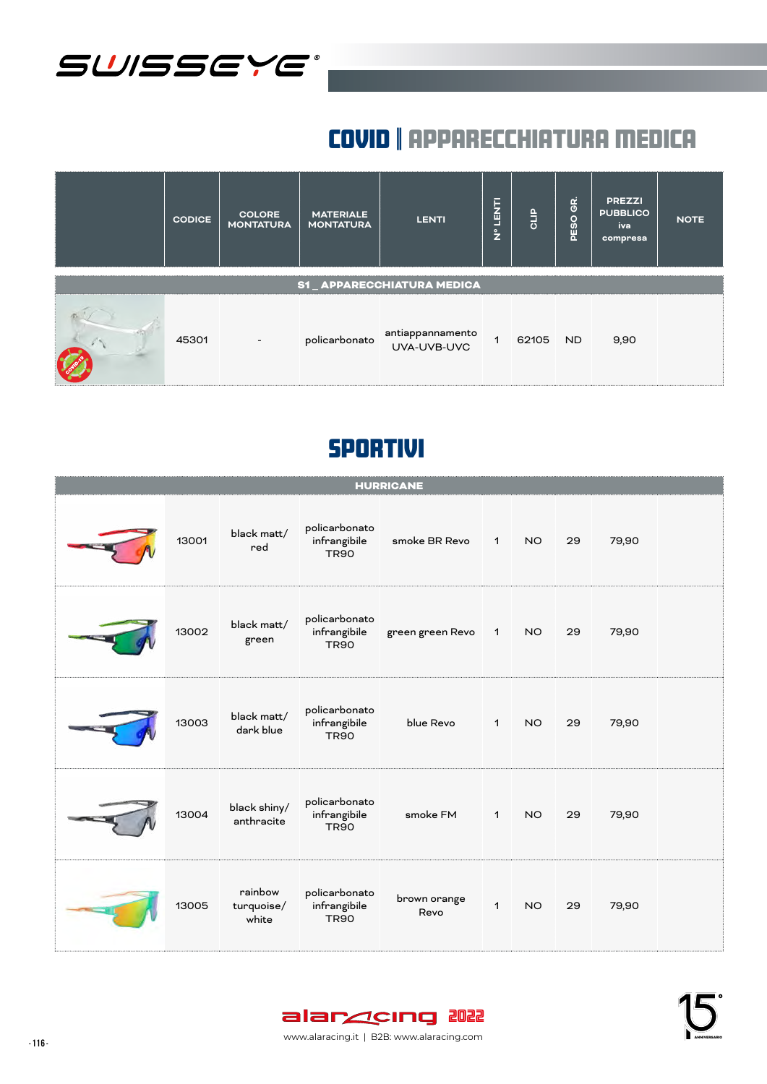

# covid | apparecchiatura medica

| <b>CODICE</b> | <b>COLORE</b><br><b>MONTATURA</b> | <b>MATERIALE</b><br><b>MONTATURA</b> | <b>LENTI</b>                                  | <b>LENTI</b><br>$\epsilon$ | GLIP     | PESO GR. | <b>PREZZI</b><br><b>PUBBLICO</b><br>iva<br>compresa | <b>NOTE</b> |
|---------------|-----------------------------------|--------------------------------------|-----------------------------------------------|----------------------------|----------|----------|-----------------------------------------------------|-------------|
|               |                                   |                                      | S1_APPARECCHIATURA MEDICA                     |                            |          |          |                                                     |             |
| 45301         | $\overline{\phantom{a}}$          |                                      | policarbonato antiappannamento<br>UVA-UVB-UVC |                            | 62105 ND |          | 9,90                                                |             |

|       |                                |                                              | <b>HURRICANE</b>     |                  |           |    |       |  |
|-------|--------------------------------|----------------------------------------------|----------------------|------------------|-----------|----|-------|--|
| 13001 | black matt/<br>red             | policarbonato<br>infrangibile<br><b>TR90</b> | smoke BR Revo        | $\blacksquare$ 1 | <b>NO</b> | 29 | 79,90 |  |
| 13002 | black matt/<br>green           | policarbonato<br>infrangibile<br><b>TR90</b> | green green Revo     | $\mathbf{1}$     | NO.       | 29 | 79,90 |  |
| 13003 | black matt/<br>dark blue       | policarbonato<br>infrangibile<br><b>TR90</b> | blue Revo            | $\mathbf{1}$     | <b>NO</b> | 29 | 79,90 |  |
| 13004 | black shiny/<br>anthracite     | policarbonato<br>infrangibile<br><b>TR90</b> | smoke FM             | $\mathbf{1}$     | <b>NO</b> | 29 | 79,90 |  |
| 13005 | rainbow<br>turquoise/<br>white | policarbonato<br>infrangibile<br><b>TR90</b> | brown orange<br>Revo | $\mathbf{1}$     | <b>NO</b> | 29 | 79,90 |  |

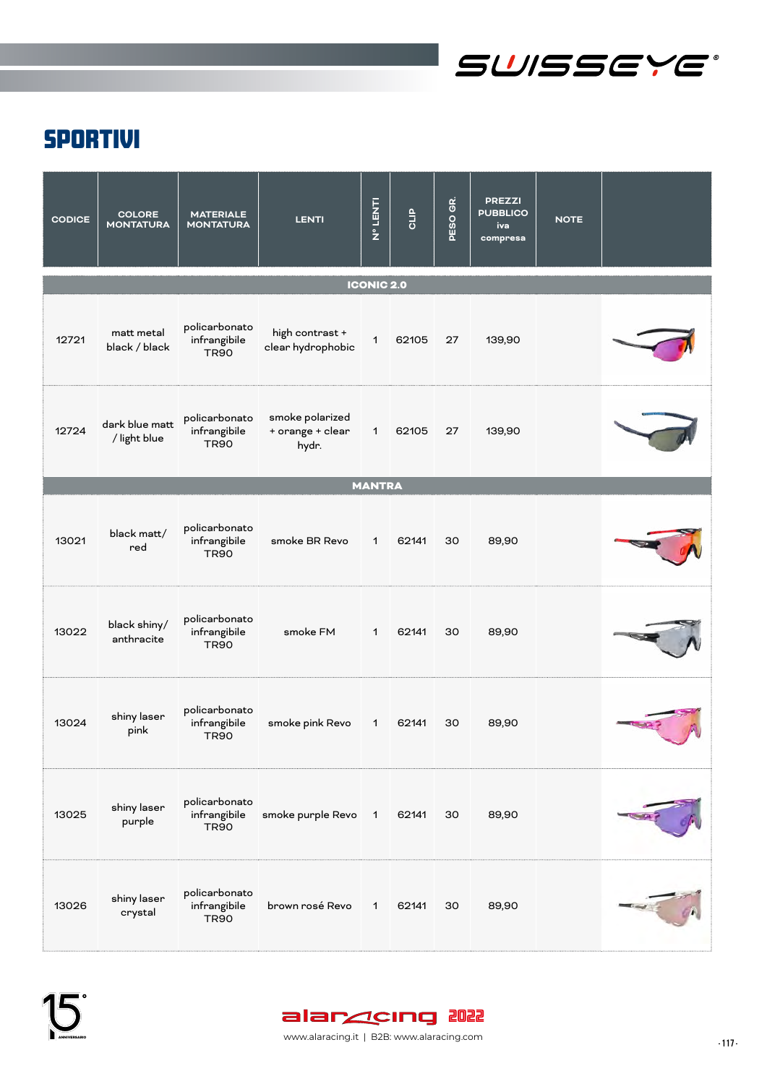

| <b>CODICE</b> | <b>COLORE</b><br><b>MONTATURA</b> | <b>MATERIALE</b><br><b>MONTATURA</b>         | <b>LENTI</b>                                 | <b>LAN 1 0 2</b>  | CLIP  | GR.<br><b>PESO</b> | <b>PREZZI</b><br><b>PUBBLICO</b><br>iva<br>compresa | <b>NOTE</b> |  |
|---------------|-----------------------------------|----------------------------------------------|----------------------------------------------|-------------------|-------|--------------------|-----------------------------------------------------|-------------|--|
|               |                                   |                                              |                                              | <b>ICONIC 2.0</b> |       |                    |                                                     |             |  |
| 12721         | matt metal<br>black / black       | policarbonato<br>infrangibile<br><b>TR90</b> | high contrast +<br>clear hydrophobic         | $\mathbf 1$       | 62105 | 27                 | 139,90                                              |             |  |
| 12724         | dark blue matt<br>/ light blue    | policarbonato<br>infrangibile<br><b>TR90</b> | smoke polarized<br>+ orange + clear<br>hydr. | $\mathbf{1}$      | 62105 | 27                 | 139,90                                              |             |  |
|               |                                   |                                              |                                              | <b>MANTRA</b>     |       |                    |                                                     |             |  |
| 13021         | black matt/<br>red                | policarbonato<br>infrangibile<br><b>TR90</b> | smoke BR Revo                                | $\mathbf{1}$      | 62141 | 30                 | 89,90                                               |             |  |
| 13022         | black shiny/<br>anthracite        | policarbonato<br>infrangibile<br><b>TR90</b> | smoke FM                                     | $\mathbf{1}$      | 62141 | 30                 | 89,90                                               |             |  |
| 13024         | shiny laser<br>pink               | policarbonato<br>infrangibile<br><b>TR90</b> | smoke pink Revo                              | $\mathbf{1}$      | 62141 | 30                 | 89,90                                               |             |  |
| 13025         | shiny laser<br>purple             | policarbonato<br>infrangibile<br><b>TR90</b> | smoke purple Revo 1                          |                   | 62141 | 30                 | 89,90                                               |             |  |
| 13026         | shiny laser<br>crystal            | policarbonato<br>infrangibile<br><b>TR90</b> | brown rosé Revo                              | 1                 | 62141 | 30                 | 89,90                                               |             |  |

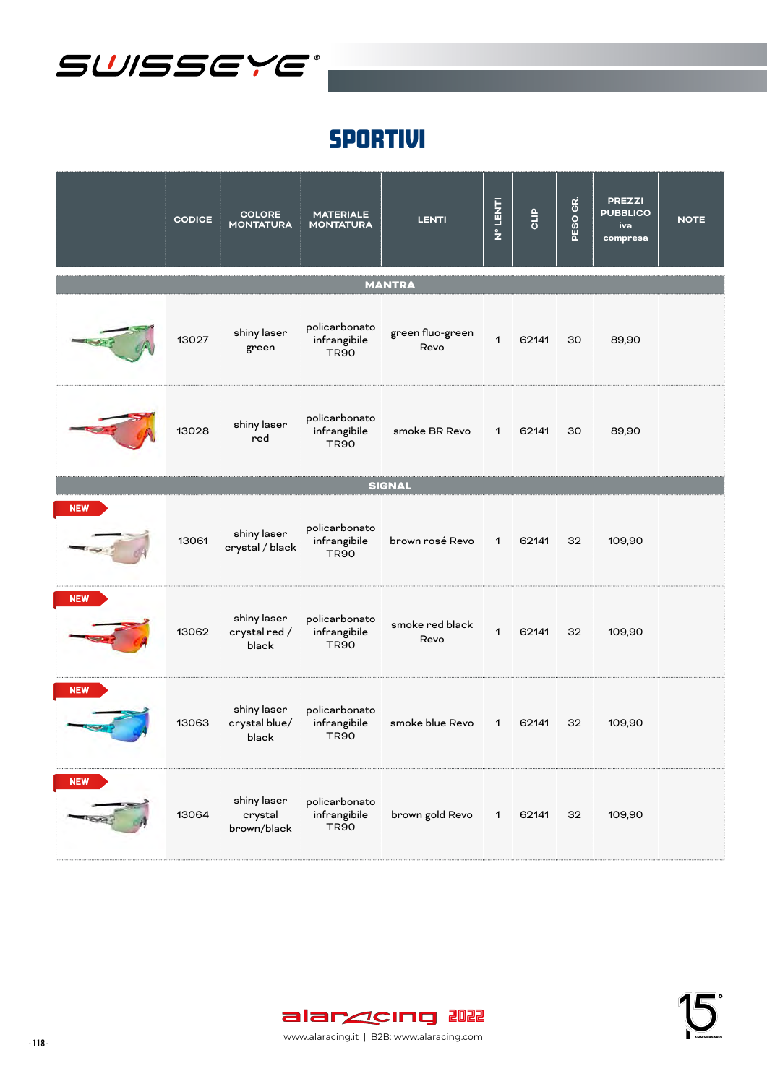

|            | <b>CODICE</b> | <b>COLORE</b><br><b>MONTATURA</b>     | <b>MATERIALE</b><br><b>MONTATURA</b>         | <b>LENTI</b>             | Nº LENTI     | GLIP  | PESO GR. | <b>PREZZI</b><br><b>PUBBLICO</b><br>iva<br>compresa | <b>NOTE</b> |
|------------|---------------|---------------------------------------|----------------------------------------------|--------------------------|--------------|-------|----------|-----------------------------------------------------|-------------|
|            |               |                                       |                                              | <b>MANTRA</b>            |              |       |          |                                                     |             |
|            | 13027         | shiny laser<br>green                  | policarbonato<br>infrangibile<br><b>TR90</b> | green fluo-green<br>Revo | $\mathbf 1$  | 62141 | 30       | 89,90                                               |             |
|            | 13028         | shiny laser<br>red                    | policarbonato<br>infrangibile<br><b>TR90</b> | smoke BR Revo            | $\mathbf{1}$ | 62141 | 30       | 89,90                                               |             |
|            |               |                                       |                                              | <b>SIGNAL</b>            |              |       |          |                                                     |             |
| <b>NEW</b> | 13061         | shiny laser<br>crystal / black        | policarbonato<br>infrangibile<br><b>TR90</b> | brown rosé Revo          | $\mathbf{1}$ | 62141 | 32       | 109,90                                              |             |
| <b>NEW</b> | 13062         | shiny laser<br>crystal red /<br>black | policarbonato<br>infrangibile<br><b>TR90</b> | smoke red black<br>Revo  | $\mathbf{1}$ | 62141 | 32       | 109,90                                              |             |
| <b>NEW</b> | 13063         | shiny laser<br>crystal blue/<br>black | policarbonato<br>infrangibile<br><b>TR90</b> | smoke blue Revo 1        |              | 62141 | 32       | 109,90                                              |             |
| <b>NEW</b> | 13064         | shiny laser<br>crystal<br>brown/black | policarbonato<br>infrangibile<br><b>TR90</b> | brown gold Revo          | $\mathbf{1}$ | 62141 | 32       | 109,90                                              |             |



- 118 - www.alaracing.it | B2B: www.alaracing.com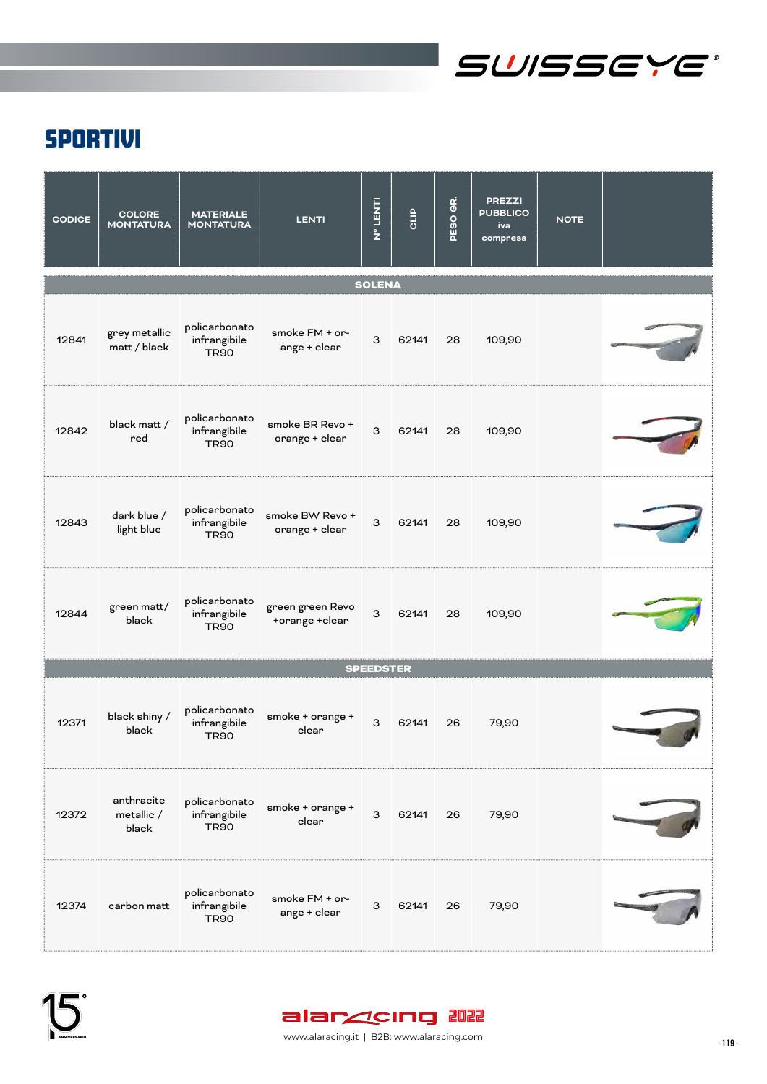

| <b>CODICE</b> | <b>COLORE</b><br><b>MONTATURA</b> | <b>MATERIALE</b><br><b>MONTATURA</b>         | <b>LENTI</b>                       | <b>LINATI</b><br>No.T | <b>QLIP</b> | GR.<br><b>PESO</b> | <b>PREZZI</b><br><b>PUBBLICO</b><br>iva<br>compresa | <b>NOTE</b> |  |
|---------------|-----------------------------------|----------------------------------------------|------------------------------------|-----------------------|-------------|--------------------|-----------------------------------------------------|-------------|--|
|               |                                   |                                              |                                    | <b>SOLENA</b>         |             |                    |                                                     |             |  |
| 12841         | grey metallic<br>matt / black     | policarbonato<br>infrangibile<br><b>TR90</b> | smoke FM + or-<br>ange + clear     | 3                     | 62141       | 28                 | 109,90                                              |             |  |
| 12842         | black matt /<br>red               | policarbonato<br>infrangibile<br><b>TR90</b> | smoke BR Revo +<br>orange + clear  | 3                     | 62141       | 28                 | 109,90                                              |             |  |
| 12843         | dark blue /<br>light blue         | policarbonato<br>infrangibile<br><b>TR90</b> | smoke BW Revo +<br>orange + clear  | 3                     | 62141       | 28                 | 109,90                                              |             |  |
| 12844         | green matt/<br>black              | policarbonato<br>infrangibile<br><b>TR90</b> | green green Revo<br>+orange +clear | 3                     | 62141       | 28                 | 109,90                                              |             |  |
|               |                                   |                                              |                                    | <b>SPEEDSTER</b>      |             |                    |                                                     |             |  |
| 12371         | black shiny /<br>black            | policarbonato<br>infrangibile<br><b>TR90</b> | smoke + orange +<br>clear          | З                     | 62141       | 26                 | 79,90                                               |             |  |
| 12372         | anthracite<br>metallic /<br>black | policarbonato<br>infrangibile<br><b>TR90</b> | smoke + orange +<br>clear          | 3                     | 62141       | 26                 | 79,90                                               |             |  |
| 12374         | carbon matt                       | policarbonato<br>infrangibile<br><b>TR90</b> | smoke FM + or-<br>ange + clear     | 3                     | 62141       | 26                 | 79,90                                               |             |  |

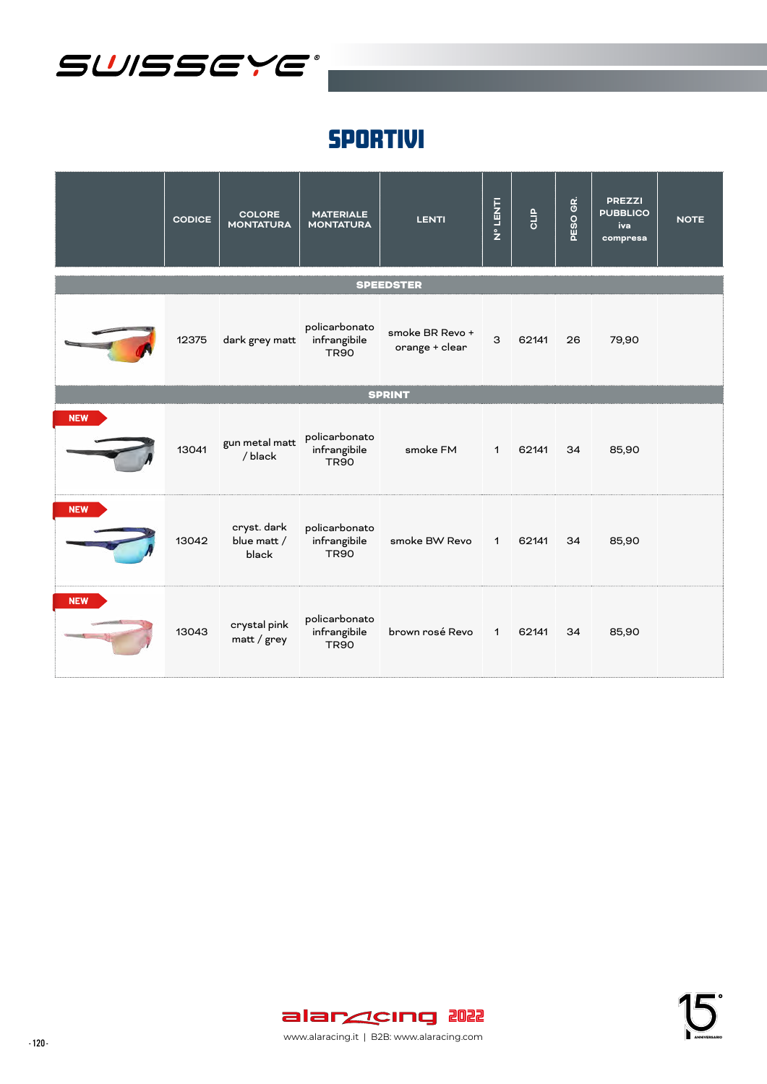

|            | <b>CODICE</b> | <b>COLORE</b><br><b>MONTATURA</b>   | <b>MATERIALE</b><br><b>MONTATURA</b>         | <b>LENTI</b>                      | Nº LENTI     | GLIP  | PESO GR. | <b>PREZZI</b><br><b>PUBBLICO</b><br>iva<br>compresa | <b>NOTE</b> |
|------------|---------------|-------------------------------------|----------------------------------------------|-----------------------------------|--------------|-------|----------|-----------------------------------------------------|-------------|
|            |               |                                     |                                              | <b>SPEEDSTER</b>                  |              |       |          |                                                     |             |
|            | 12375         | dark grey matt                      | policarbonato<br>infrangibile<br><b>TR90</b> | smoke BR Revo +<br>orange + clear | 3            | 62141 | 26       | 79,90                                               |             |
|            |               |                                     |                                              | <b>SPRINT</b>                     |              |       |          |                                                     |             |
| <b>NEW</b> | 13041         | gun metal matt<br>/ black           | policarbonato<br>infrangibile<br><b>TR90</b> | smoke FM                          | $\mathbf{1}$ | 62141 | 34       | 85,90                                               |             |
| <b>NEW</b> | 13042         | cryst. dark<br>blue matt /<br>black | policarbonato<br>infrangibile<br><b>TR90</b> | smoke BW Revo                     | 1            | 62141 | 34       | 85,90                                               |             |
| <b>NEW</b> | 13043         | crystal pink<br>matt / grey         | policarbonato<br>infrangibile<br><b>TR90</b> | brown rosé Revo 1                 |              | 62141 | 34       | 85,90                                               |             |

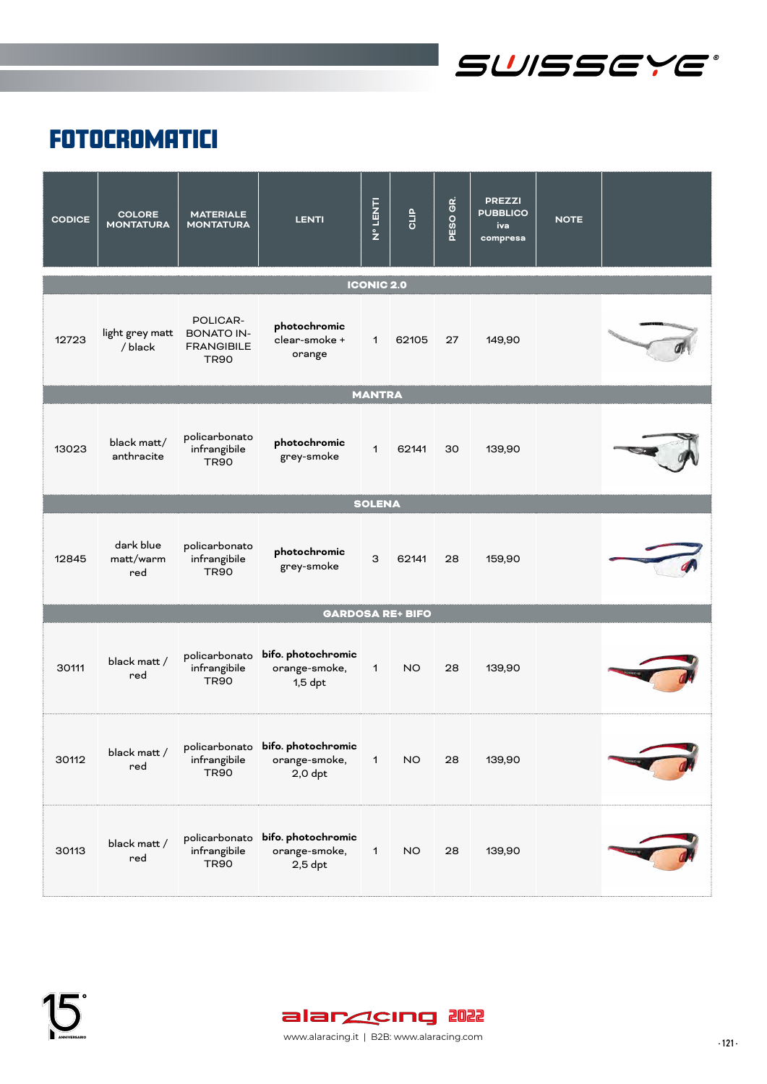

### **FOTOCROMATICI**

| <b>CODICE</b> | <b>COLORE</b><br><b>MONTATURA</b> | <b>MATERIALE</b><br><b>MONTATURA</b>                              | <b>LENTI</b>                                                   | <b>LINST CA</b>   | GLIP                    | PESO GR. | <b>PREZZI</b><br><b>PUBBLICO</b><br>iva<br>compresa | <b>NOTE</b> |  |
|---------------|-----------------------------------|-------------------------------------------------------------------|----------------------------------------------------------------|-------------------|-------------------------|----------|-----------------------------------------------------|-------------|--|
|               |                                   |                                                                   |                                                                | <b>ICONIC 2.0</b> |                         |          |                                                     |             |  |
| 12723         | light grey matt<br>/ black        | POLICAR-<br><b>BONATO IN-</b><br><b>FRANGIBILE</b><br><b>TR90</b> | photochromic<br>clear-smoke +<br>orange                        | $\mathbf{1}$      | 62105                   | 27       | 149,90                                              |             |  |
|               |                                   |                                                                   |                                                                | <b>MANTRA</b>     |                         |          |                                                     |             |  |
| 13023         | black matt/<br>anthracite         | policarbonato<br>infrangibile<br><b>TR90</b>                      | photochromic<br>grey-smoke                                     | $\mathbf{1}$      | 62141                   | 30       | 139,90                                              |             |  |
|               |                                   |                                                                   |                                                                | <b>SOLENA</b>     |                         |          |                                                     |             |  |
| 12845         | dark blue<br>matt/warm<br>red     | policarbonato<br>infrangibile<br><b>TR90</b>                      | photochromic<br>grey-smoke                                     | 3                 | 62141                   | 28       | 159,90                                              |             |  |
|               |                                   |                                                                   |                                                                |                   | <b>GARDOSA RE+ BIFO</b> |          |                                                     |             |  |
| 30111         | black matt /<br>red               | infrangibile<br><b>TR90</b>                                       | policarbonato bifo. photochromic<br>orange-smoke,<br>$1,5$ dpt | $\mathbf 1$       | <b>NO</b>               | 28       | 139,90                                              |             |  |
| 30112         | black matt /<br>red               | infrangibile<br><b>TR90</b>                                       | policarbonato bifo. photochromic<br>orange-smoke,<br>$2,0$ dpt | $\mathbf 1$       | <b>NO</b>               | 28       | 139,90                                              |             |  |
| 30113         | black matt /<br>red               | infrangibile<br><b>TR90</b>                                       | policarbonato bifo. photochromic<br>orange-smoke,<br>$2,5$ dpt | $\mathbf 1$       | <b>NO</b>               | 28       | 139,90                                              |             |  |

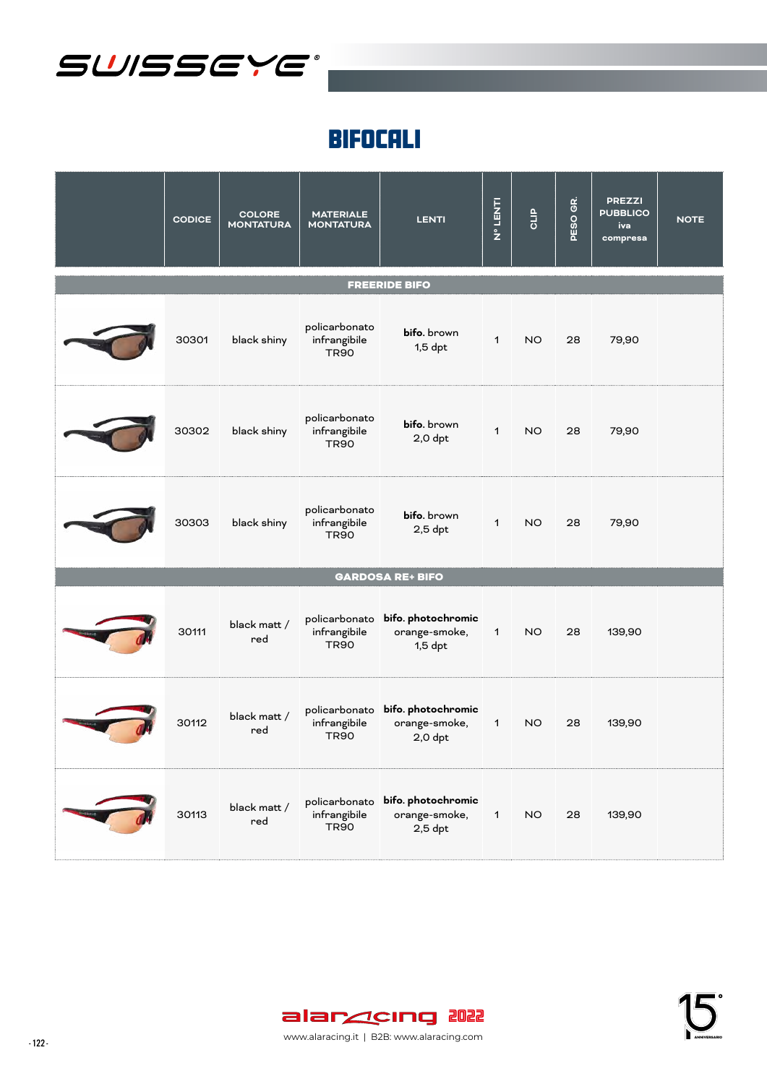

### BIFOCALI

| <b>CODICE</b> | <b>COLORE</b><br><b>MONTATURA</b> | <b>MATERIALE</b><br><b>MONTATURA</b>         | <b>LENTI</b>                                                   | <b>NºLENT</b> | <b>CLIP</b> | GR.<br>PESO | <b>PREZZI</b><br><b>PUBBLICO</b><br>iva<br>compresa | <b>NOTE</b> |
|---------------|-----------------------------------|----------------------------------------------|----------------------------------------------------------------|---------------|-------------|-------------|-----------------------------------------------------|-------------|
|               |                                   |                                              | <b>FREERIDE BIFO</b>                                           |               |             |             |                                                     |             |
| 30301         | black shiny                       | policarbonato<br>infrangibile<br><b>TR90</b> | bifo. brown<br>$1,5$ dpt                                       | $\mathbf 1$   | NO.         | 28          | 79,90                                               |             |
| 30302         | black shiny                       | policarbonato<br>infrangibile<br><b>TR90</b> | bifo. brown<br>$2,0$ dpt                                       | $\mathbf{1}$  | NO.         | 28          | 79,90                                               |             |
| 30303         | black shiny                       | policarbonato<br>infrangibile<br><b>TR90</b> | bifo. brown<br>$2,5$ dpt                                       | $\mathbf{1}$  | NO.         | 28          | 79,90                                               |             |
|               |                                   |                                              | <b>GARDOSA RE+ BIFO</b>                                        |               |             |             |                                                     |             |
| 30111         | black matt /<br>red               | infrangibile<br><b>TR90</b>                  | policarbonato bifo. photochromic<br>orange-smoke,<br>$1,5$ dpt | $\mathbf{1}$  | NO.         | 28          | 139,90                                              |             |
| 30112         | black matt /<br>red               | infrangibile<br><b>TR90</b>                  | policarbonato bifo. photochromic<br>orange-smoke,<br>$2,0$ dpt | $\mathbf{1}$  | NO.         | 28          | 139,90                                              |             |
| 30113         | black matt /<br>red               | infrangibile<br><b>TR90</b>                  | policarbonato bifo. photochromic<br>orange-smoke,<br>$2,5$ dpt | $\mathbf{1}$  | <b>NO</b>   | 28          | 139,90                                              |             |



- 122 - www.alaracing.it | B2B: www.alaracing.com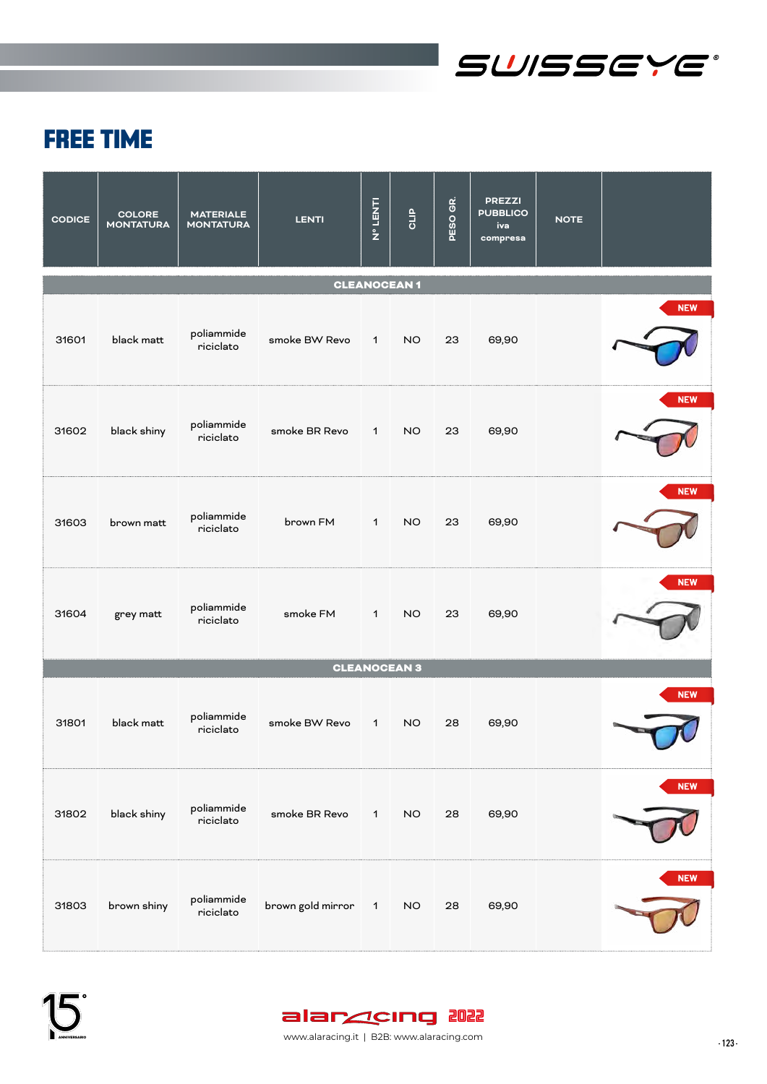

# FREE TIME

| <b>CODICE</b> | <b>COLORE</b><br><b>MONTATURA</b> | <b>MATERIALE</b><br><b>MONTATURA</b> | <b>LENTI</b>        | N° LENTI     | <b>QLIP</b>         | PESO GR. | <b>PREZZI</b><br><b>PUBBLICO</b><br>iva<br>compresa | <b>NOTE</b> |            |
|---------------|-----------------------------------|--------------------------------------|---------------------|--------------|---------------------|----------|-----------------------------------------------------|-------------|------------|
|               |                                   |                                      |                     |              | <b>CLEANOCEAN1</b>  |          |                                                     |             |            |
| 31601         | black matt                        | poliammide<br>riciclato              | smoke BW Revo       | $\mathbf{1}$ | NO.                 | 23       | 69,90                                               |             | <b>NEW</b> |
| 31602         | black shiny                       | poliammide<br>riciclato              | smoke BR Revo       | $\mathbf{1}$ | NO.                 | 23       | 69,90                                               |             | <b>NEW</b> |
| 31603         | brown matt                        | poliammide<br>riciclato              | brown FM            | $\mathbf{1}$ | NO.                 | 23       | 69,90                                               |             | <b>NEW</b> |
| 31604         | grey matt                         | poliammide<br>riciclato              | smoke FM            | $\mathbf{1}$ | NO.                 | 23       | 69,90                                               |             | <b>NEW</b> |
|               |                                   |                                      |                     |              | <b>CLEANOCEAN 3</b> |          |                                                     |             |            |
| 31801         | black matt                        | poliammide<br>riciclato              | smoke BW Revo       | $\mathbf{1}$ | NO.                 | 28       | 69,90                                               |             | <b>NEW</b> |
| 31802         | black shiny                       | poliammide<br>riciclato              | smoke BR Revo       | $\mathbf{1}$ | <b>NO</b>           | 28       | 69,90                                               |             | <b>NEW</b> |
| 31803         | brown shiny                       | poliammide<br>riciclato              | brown gold mirror 1 |              | <b>NO</b>           | 28       | 69,90                                               |             | <b>NEW</b> |

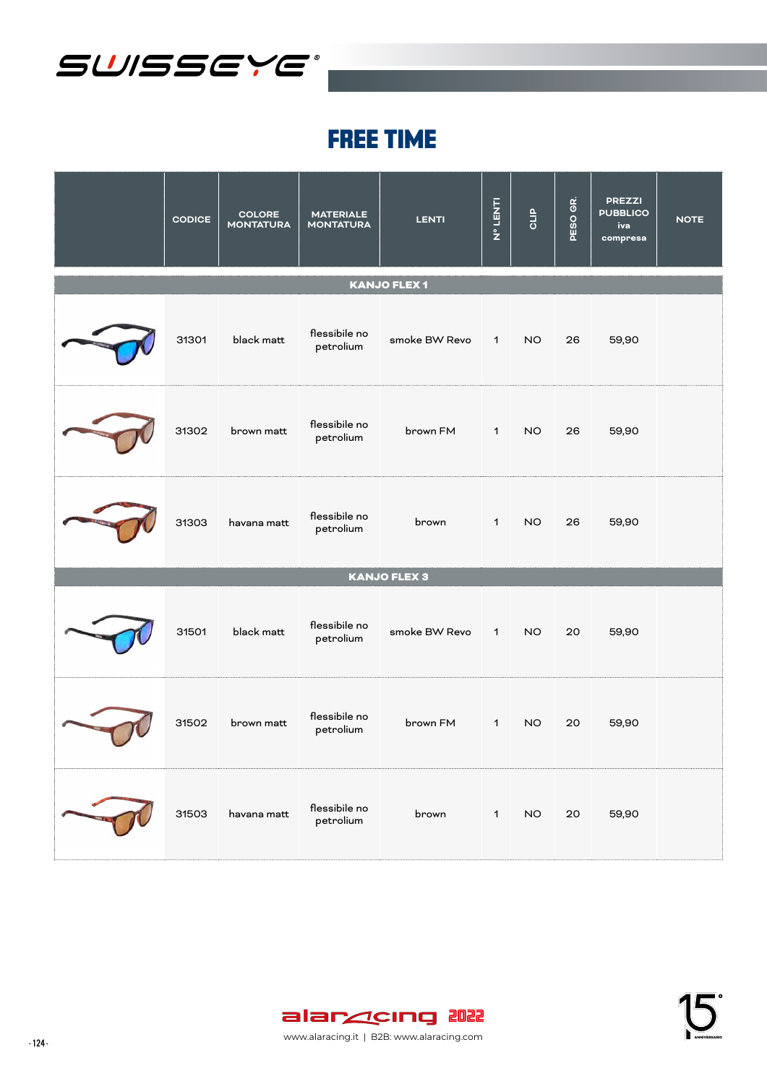

### FREE TIME

| <b>CODICE</b> | <b>COLORE</b><br><b>MONTATURA</b> | <b>MATERIALE</b><br><b>MONTATURA</b> | <b>LENTI</b>        | <b>N° LENT</b> | GLIP            | GR.<br><b>PESO</b> | <b>PREZZI</b><br><b>PUBBLICO</b><br>iva<br>compresa | <b>NOTE</b> |
|---------------|-----------------------------------|--------------------------------------|---------------------|----------------|-----------------|--------------------|-----------------------------------------------------|-------------|
|               |                                   |                                      | <b>KANJO FLEX 1</b> |                |                 |                    |                                                     |             |
| 31301         | black matt                        | flessibile no<br>petrolium           | smoke BW Revo 1     |                | NO              | 26                 | 59,90                                               |             |
| 31302         | brown matt                        | flessibile no<br>petrolium           | brown FM 1          |                | NO              | 26                 | 59,90                                               |             |
| 31303         | havana matt                       | flessibile no<br>petrolium           | brown 1             |                | NO <sub>1</sub> | 26                 | 59,90                                               |             |
|               |                                   |                                      | <b>KANJO FLEX 3</b> |                |                 |                    |                                                     |             |
| 31501         | black matt                        | flessibile no<br>petrolium           | smoke BW Revo 1     |                | NO              | 20                 | 59,90                                               |             |
| 31502         | brown matt                        | flessibile no<br>petrolium           | brown FM            | $1 \quad$      | NO <sub>1</sub> | 20                 | 59,90                                               |             |
| 31503         | havana matt                       | flessibile no<br>petrolium           | brown               | $\mathbf{1}$   | <b>NO</b>       | 20                 | 59,90                                               |             |

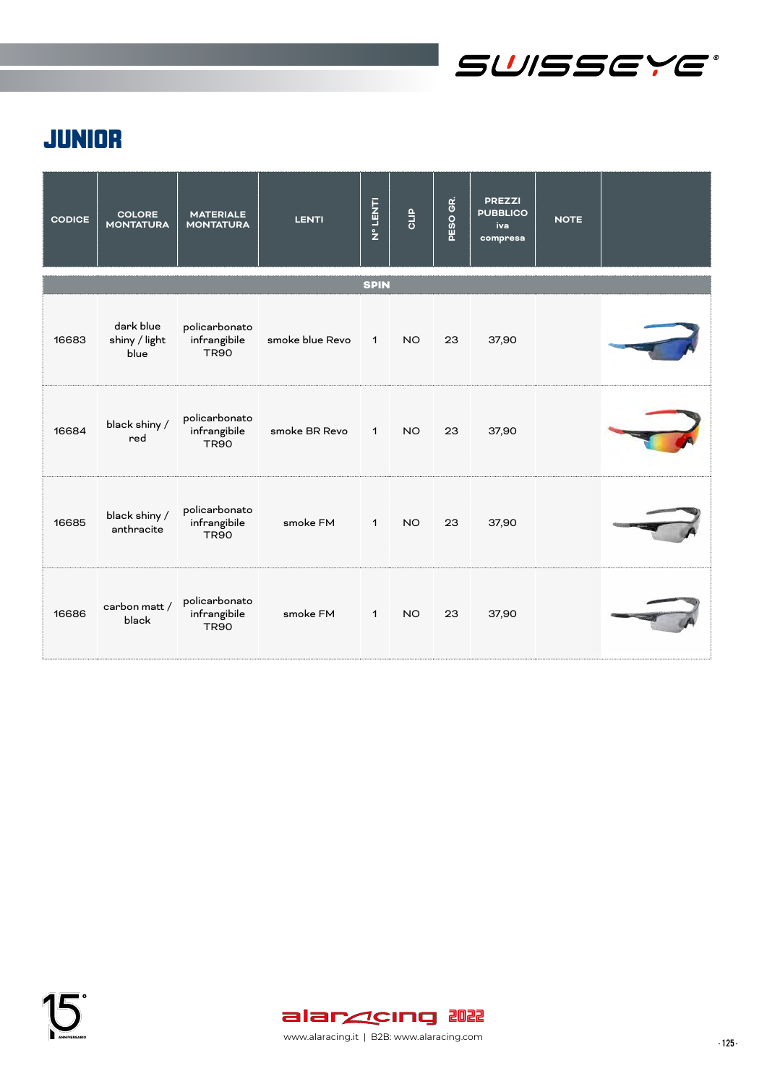

## JUNIOR

| <b>CODICE</b> | <b>COLORE</b><br><b>MONTATURA</b>  | <b>MATERIALE</b><br><b>MONTATURA</b>         | <b>LENTI</b>    | <b>Nº LENTI</b> | GLIP      | PESO GR. | <b>PREZZI</b><br><b>PUBBLICO</b><br>iva<br>compresa | <b>NOTE</b> |  |
|---------------|------------------------------------|----------------------------------------------|-----------------|-----------------|-----------|----------|-----------------------------------------------------|-------------|--|
|               |                                    |                                              |                 | <b>SPIN</b>     |           |          |                                                     |             |  |
| 16683         | dark blue<br>shiny / light<br>blue | policarbonato<br>infrangibile<br><b>TR90</b> | smoke blue Revo | $\overline{1}$  | NO.       | 23       | 37,90                                               |             |  |
| 16684         | black shiny /<br>red               | policarbonato<br>infrangibile<br><b>TR90</b> | smoke BR Revo   | $\mathbf{1}$    | <b>NO</b> | 23       | 37,90                                               |             |  |
| 16685         | black shiny /<br>anthracite        | policarbonato<br>infrangibile<br><b>TR90</b> | smoke FM        | $\mathbf{1}$    | NO.       | 23       | 37,90                                               |             |  |
| 16686         | carbon matt /<br>black             | policarbonato<br>infrangibile<br><b>TR90</b> | smoke FM        | $\mathbf{1}$    | NO.       | 23       | 37,90                                               |             |  |